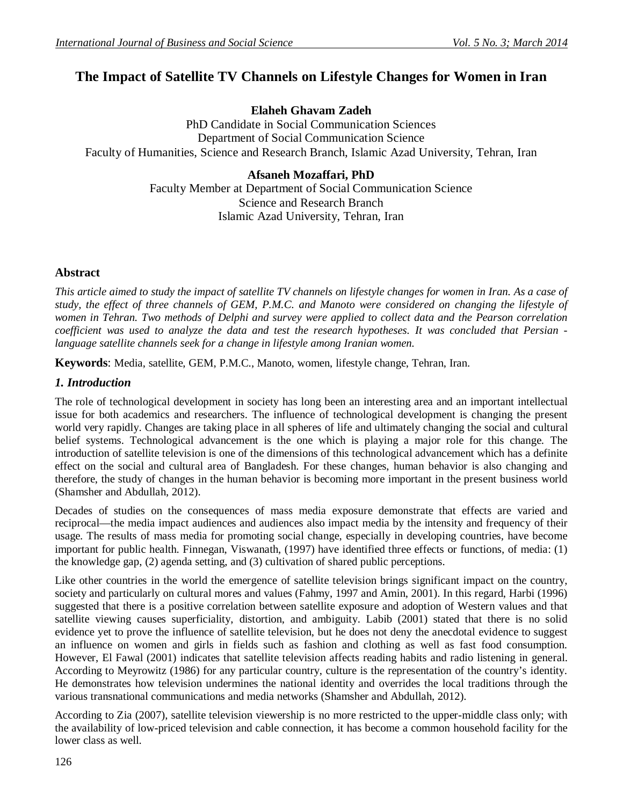# **The Impact of Satellite TV Channels on Lifestyle Changes for Women in Iran**

### **Elaheh Ghavam Zadeh**

PhD Candidate in Social Communication Sciences Department of Social Communication Science Faculty of Humanities, Science and Research Branch, Islamic Azad University, Tehran, Iran

## **Afsaneh Mozaffari, PhD**

Faculty Member at Department of Social Communication Science Science and Research Branch Islamic Azad University, Tehran, Iran

### **Abstract**

*This article aimed to study the impact of satellite TV channels on lifestyle changes for women in Iran. As a case of study, the effect of three channels of GEM, P.M.C. and Manoto were considered on changing the lifestyle of women in Tehran. Two methods of Delphi and survey were applied to collect data and the Pearson correlation coefficient was used to analyze the data and test the research hypotheses. It was concluded that Persian language satellite channels seek for a change in lifestyle among Iranian women.*

**Keywords**: Media, satellite, GEM, P.M.C., Manoto, women, lifestyle change, Tehran, Iran.

### *1. Introduction*

The role of technological development in society has long been an interesting area and an important intellectual issue for both academics and researchers. The influence of technological development is changing the present world very rapidly. Changes are taking place in all spheres of life and ultimately changing the social and cultural belief systems. Technological advancement is the one which is playing a major role for this change. The introduction of satellite television is one of the dimensions of this technological advancement which has a definite effect on the social and cultural area of Bangladesh. For these changes, human behavior is also changing and therefore, the study of changes in the human behavior is becoming more important in the present business world (Shamsher and Abdullah, 2012).

Decades of studies on the consequences of mass media exposure demonstrate that effects are varied and reciprocal—the media impact audiences and audiences also impact media by the intensity and frequency of their usage. The results of mass media for promoting social change, especially in developing countries, have become important for public health. Finnegan, Viswanath, (1997) have identified three effects or functions, of media: (1) the knowledge gap, (2) agenda setting, and (3) cultivation of shared public perceptions.

Like other countries in the world the emergence of satellite television brings significant impact on the country, society and particularly on cultural mores and values (Fahmy, 1997 and Amin, 2001). In this regard, Harbi (1996) suggested that there is a positive correlation between satellite exposure and adoption of Western values and that satellite viewing causes superficiality, distortion, and ambiguity. Labib (2001) stated that there is no solid evidence yet to prove the influence of satellite television, but he does not deny the anecdotal evidence to suggest an influence on women and girls in fields such as fashion and clothing as well as fast food consumption. However, El Fawal (2001) indicates that satellite television affects reading habits and radio listening in general. According to Meyrowitz (1986) for any particular country, culture is the representation of the country's identity. He demonstrates how television undermines the national identity and overrides the local traditions through the various transnational communications and media networks (Shamsher and Abdullah, 2012).

According to Zia (2007), satellite television viewership is no more restricted to the upper-middle class only; with the availability of low-priced television and cable connection, it has become a common household facility for the lower class as well.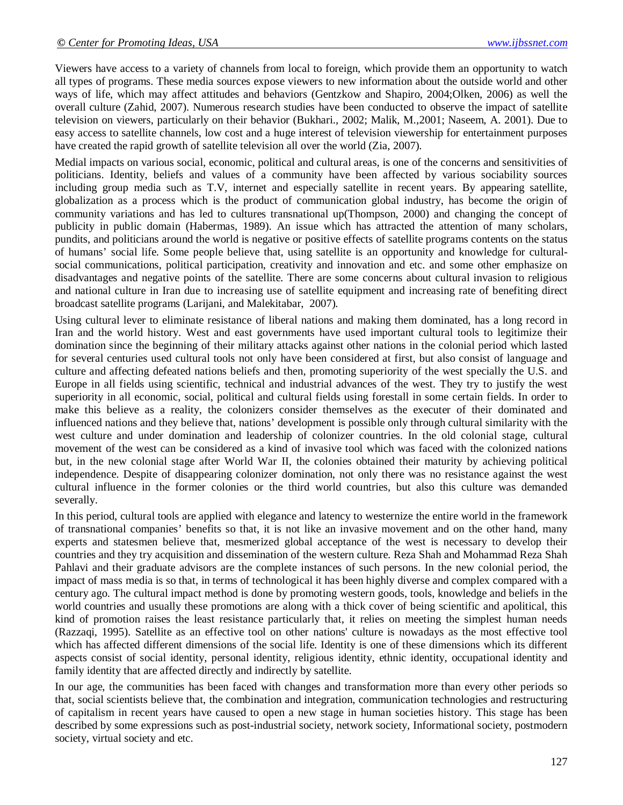Viewers have access to a variety of channels from local to foreign, which provide them an opportunity to watch all types of programs. These media sources expose viewers to new information about the outside world and other ways of life, which may affect attitudes and behaviors (Gentzkow and Shapiro, 2004;Olken, 2006) as well the overall culture (Zahid, 2007). Numerous research studies have been conducted to observe the impact of satellite television on viewers, particularly on their behavior (Bukhari., 2002; Malik, M.,2001; Naseem, A. 2001). Due to easy access to satellite channels, low cost and a huge interest of television viewership for entertainment purposes have created the rapid growth of satellite television all over the world (Zia, 2007).

Medial impacts on various social, economic, political and cultural areas, is one of the concerns and sensitivities of politicians. Identity, beliefs and values of a community have been affected by various sociability sources including group media such as T.V, internet and especially satellite in recent years. By appearing satellite, globalization as a process which is the product of communication global industry, has become the origin of community variations and has led to cultures transnational up(Thompson, 2000) and changing the concept of publicity in public domain (Habermas, 1989). An issue which has attracted the attention of many scholars, pundits, and politicians around the world is negative or positive effects of satellite programs contents on the status of humans' social life. Some people believe that, using satellite is an opportunity and knowledge for culturalsocial communications, political participation, creativity and innovation and etc. and some other emphasize on disadvantages and negative points of the satellite. There are some concerns about cultural invasion to religious and national culture in Iran due to increasing use of satellite equipment and increasing rate of benefiting direct broadcast satellite programs (Larijani, and Malekitabar, 2007).

Using cultural lever to eliminate resistance of liberal nations and making them dominated, has a long record in Iran and the world history. West and east governments have used important cultural tools to legitimize their domination since the beginning of their military attacks against other nations in the colonial period which lasted for several centuries used cultural tools not only have been considered at first, but also consist of language and culture and affecting defeated nations beliefs and then, promoting superiority of the west specially the U.S. and Europe in all fields using scientific, technical and industrial advances of the west. They try to justify the west superiority in all economic, social, political and cultural fields using forestall in some certain fields. In order to make this believe as a reality, the colonizers consider themselves as the executer of their dominated and influenced nations and they believe that, nations' development is possible only through cultural similarity with the west culture and under domination and leadership of colonizer countries. In the old colonial stage, cultural movement of the west can be considered as a kind of invasive tool which was faced with the colonized nations but, in the new colonial stage after World War II, the colonies obtained their maturity by achieving political independence. Despite of disappearing colonizer domination, not only there was no resistance against the west cultural influence in the former colonies or the third world countries, but also this culture was demanded severally.

In this period, cultural tools are applied with elegance and latency to westernize the entire world in the framework of transnational companies' benefits so that, it is not like an invasive movement and on the other hand, many experts and statesmen believe that, mesmerized global acceptance of the west is necessary to develop their countries and they try acquisition and dissemination of the western culture. Reza Shah and Mohammad Reza Shah Pahlavi and their graduate advisors are the complete instances of such persons. In the new colonial period, the impact of mass media is so that, in terms of technological it has been highly diverse and complex compared with a century ago. The cultural impact method is done by promoting western goods, tools, knowledge and beliefs in the world countries and usually these promotions are along with a thick cover of being scientific and apolitical, this kind of promotion raises the least resistance particularly that, it relies on meeting the simplest human needs (Razzaqi, 1995). Satellite as an effective tool on other nations' culture is nowadays as the most effective tool which has affected different dimensions of the social life. Identity is one of these dimensions which its different aspects consist of social identity, personal identity, religious identity, ethnic identity, occupational identity and family identity that are affected directly and indirectly by satellite.

In our age, the communities has been faced with changes and transformation more than every other periods so that, social scientists believe that, the combination and integration, communication technologies and restructuring of capitalism in recent years have caused to open a new stage in human societies history. This stage has been described by some expressions such as post-industrial society, network society, Informational society, postmodern society, virtual society and etc.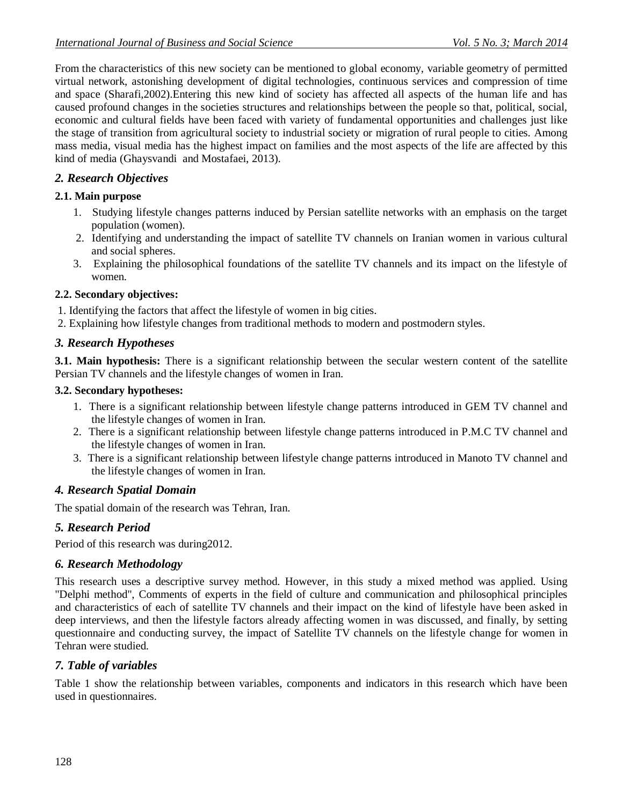From the characteristics of this new society can be mentioned to global economy, variable geometry of permitted virtual network, astonishing development of digital technologies, continuous services and compression of time and space (Sharafi,2002).Entering this new kind of society has affected all aspects of the human life and has caused profound changes in the societies structures and relationships between the people so that, political, social, economic and cultural fields have been faced with variety of fundamental opportunities and challenges just like the stage of transition from agricultural society to industrial society or migration of rural people to cities. Among mass media, visual media has the highest impact on families and the most aspects of the life are affected by this kind of media (Ghaysvandi and Mostafaei, 2013).

### *2. Research Objectives*

### **2.1. Main purpose**

- 1. Studying lifestyle changes patterns induced by Persian satellite networks with an emphasis on the target population (women).
- 2. Identifying and understanding the impact of satellite TV channels on Iranian women in various cultural and social spheres.
- 3. Explaining the philosophical foundations of the satellite TV channels and its impact on the lifestyle of women.

### **2.2. Secondary objectives:**

- 1. Identifying the factors that affect the lifestyle of women in big cities.
- 2. Explaining how lifestyle changes from traditional methods to modern and postmodern styles.

### *3. Research Hypotheses*

**3.1. Main hypothesis:** There is a significant relationship between the secular western content of the satellite Persian TV channels and the lifestyle changes of women in Iran.

#### **3.2. Secondary hypotheses:**

- 1. There is a significant relationship between lifestyle change patterns introduced in GEM TV channel and the lifestyle changes of women in Iran.
- 2. There is a significant relationship between lifestyle change patterns introduced in P.M.C TV channel and the lifestyle changes of women in Iran.
- 3. There is a significant relationship between lifestyle change patterns introduced in Manoto TV channel and the lifestyle changes of women in Iran.

### *4. Research Spatial Domain*

The spatial domain of the research was Tehran, Iran.

### *5. Research Period*

Period of this research was during2012.

### *6. Research Methodology*

This research uses a descriptive survey method. However, in this study a mixed method was applied. Using "Delphi method", Comments of experts in the field of culture and communication and philosophical principles and characteristics of each of satellite TV channels and their impact on the kind of lifestyle have been asked in deep interviews, and then the lifestyle factors already affecting women in was discussed, and finally, by setting questionnaire and conducting survey, the impact of Satellite TV channels on the lifestyle change for women in Tehran were studied.

### *7. Table of variables*

Table 1 show the relationship between variables, components and indicators in this research which have been used in questionnaires.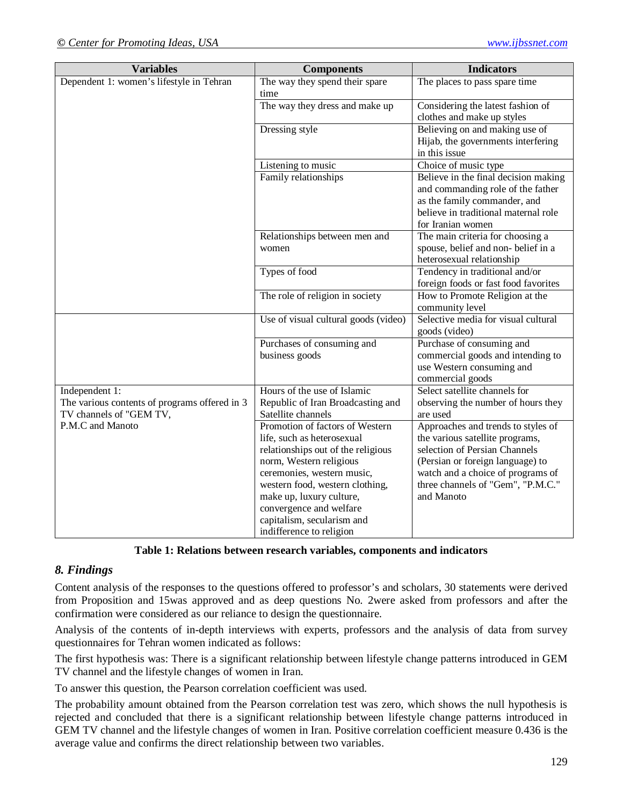| <b>Variables</b>                                                                           | <b>Components</b>                                                                                                                                                                                                                                                                                                | <b>Indicators</b>                                                                                                                                                                                                                  |
|--------------------------------------------------------------------------------------------|------------------------------------------------------------------------------------------------------------------------------------------------------------------------------------------------------------------------------------------------------------------------------------------------------------------|------------------------------------------------------------------------------------------------------------------------------------------------------------------------------------------------------------------------------------|
| Dependent 1: women's lifestyle in Tehran                                                   | The way they spend their spare<br>time                                                                                                                                                                                                                                                                           | The places to pass spare time                                                                                                                                                                                                      |
|                                                                                            | The way they dress and make up                                                                                                                                                                                                                                                                                   | Considering the latest fashion of<br>clothes and make up styles                                                                                                                                                                    |
|                                                                                            | Dressing style                                                                                                                                                                                                                                                                                                   | Believing on and making use of<br>Hijab, the governments interfering<br>in this issue                                                                                                                                              |
|                                                                                            | Listening to music                                                                                                                                                                                                                                                                                               | Choice of music type                                                                                                                                                                                                               |
|                                                                                            | Family relationships                                                                                                                                                                                                                                                                                             | Believe in the final decision making<br>and commanding role of the father<br>as the family commander, and<br>believe in traditional maternal role                                                                                  |
|                                                                                            | Relationships between men and<br>women                                                                                                                                                                                                                                                                           | for Iranian women<br>The main criteria for choosing a<br>spouse, belief and non-belief in a<br>heterosexual relationship                                                                                                           |
|                                                                                            | Types of food                                                                                                                                                                                                                                                                                                    | Tendency in traditional and/or<br>foreign foods or fast food favorites                                                                                                                                                             |
|                                                                                            | The role of religion in society                                                                                                                                                                                                                                                                                  | How to Promote Religion at the<br>community level                                                                                                                                                                                  |
|                                                                                            | Use of visual cultural goods (video)                                                                                                                                                                                                                                                                             | Selective media for visual cultural<br>goods (video)                                                                                                                                                                               |
|                                                                                            | Purchases of consuming and<br>business goods                                                                                                                                                                                                                                                                     | Purchase of consuming and<br>commercial goods and intending to<br>use Western consuming and<br>commercial goods                                                                                                                    |
| Independent 1:<br>The various contents of programs offered in 3<br>TV channels of "GEM TV, | Hours of the use of Islamic<br>Republic of Iran Broadcasting and<br>Satellite channels                                                                                                                                                                                                                           | Select satellite channels for<br>observing the number of hours they<br>are used                                                                                                                                                    |
| P.M.C and Manoto                                                                           | Promotion of factors of Western<br>life, such as heterosexual<br>relationships out of the religious<br>norm, Western religious<br>ceremonies, western music,<br>western food, western clothing,<br>make up, luxury culture,<br>convergence and welfare<br>capitalism, secularism and<br>indifference to religion | Approaches and trends to styles of<br>the various satellite programs,<br>selection of Persian Channels<br>(Persian or foreign language) to<br>watch and a choice of programs of<br>three channels of "Gem", "P.M.C."<br>and Manoto |

**Table 1: Relations between research variables, components and indicators**

#### *8. Findings*

Content analysis of the responses to the questions offered to professor's and scholars, 30 statements were derived from Proposition and 15was approved and as deep questions No. 2were asked from professors and after the confirmation were considered as our reliance to design the questionnaire.

Analysis of the contents of in-depth interviews with experts, professors and the analysis of data from survey questionnaires for Tehran women indicated as follows:

The first hypothesis was: There is a significant relationship between lifestyle change patterns introduced in GEM TV channel and the lifestyle changes of women in Iran.

To answer this question, the Pearson correlation coefficient was used.

The probability amount obtained from the Pearson correlation test was zero, which shows the null hypothesis is rejected and concluded that there is a significant relationship between lifestyle change patterns introduced in GEM TV channel and the lifestyle changes of women in Iran. Positive correlation coefficient measure 0.436 is the average value and confirms the direct relationship between two variables.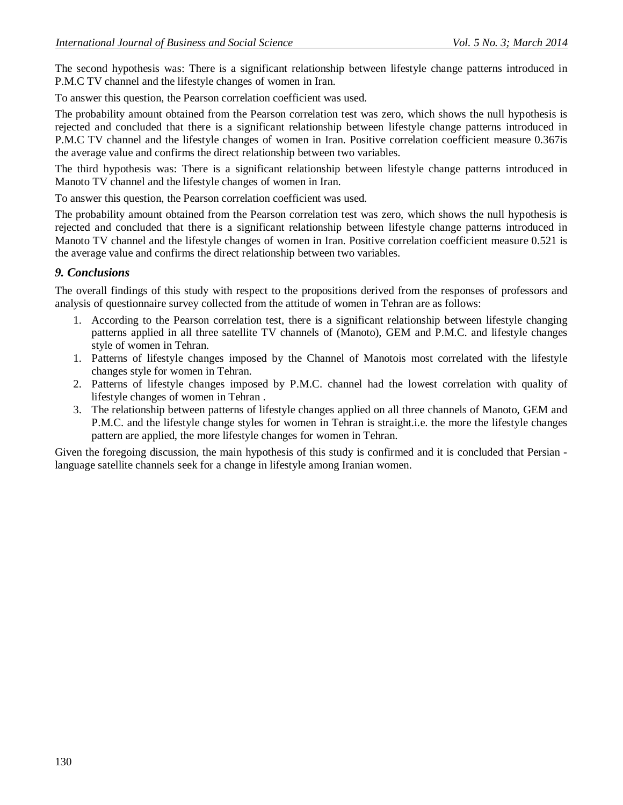The second hypothesis was: There is a significant relationship between lifestyle change patterns introduced in P.M.C TV channel and the lifestyle changes of women in Iran.

To answer this question, the Pearson correlation coefficient was used.

The probability amount obtained from the Pearson correlation test was zero, which shows the null hypothesis is rejected and concluded that there is a significant relationship between lifestyle change patterns introduced in P.M.C TV channel and the lifestyle changes of women in Iran. Positive correlation coefficient measure 0.367is the average value and confirms the direct relationship between two variables.

The third hypothesis was: There is a significant relationship between lifestyle change patterns introduced in Manoto TV channel and the lifestyle changes of women in Iran.

To answer this question, the Pearson correlation coefficient was used.

The probability amount obtained from the Pearson correlation test was zero, which shows the null hypothesis is rejected and concluded that there is a significant relationship between lifestyle change patterns introduced in Manoto TV channel and the lifestyle changes of women in Iran. Positive correlation coefficient measure 0.521 is the average value and confirms the direct relationship between two variables.

### *9. Conclusions*

The overall findings of this study with respect to the propositions derived from the responses of professors and analysis of questionnaire survey collected from the attitude of women in Tehran are as follows:

- 1. According to the Pearson correlation test, there is a significant relationship between lifestyle changing patterns applied in all three satellite TV channels of (Manoto), GEM and P.M.C. and lifestyle changes style of women in Tehran.
- 1. Patterns of lifestyle changes imposed by the Channel of Manotois most correlated with the lifestyle changes style for women in Tehran.
- 2. Patterns of lifestyle changes imposed by P.M.C. channel had the lowest correlation with quality of lifestyle changes of women in Tehran .
- 3. The relationship between patterns of lifestyle changes applied on all three channels of Manoto, GEM and P.M.C. and the lifestyle change styles for women in Tehran is straight.i.e. the more the lifestyle changes pattern are applied, the more lifestyle changes for women in Tehran.

Given the foregoing discussion, the main hypothesis of this study is confirmed and it is concluded that Persian language satellite channels seek for a change in lifestyle among Iranian women.